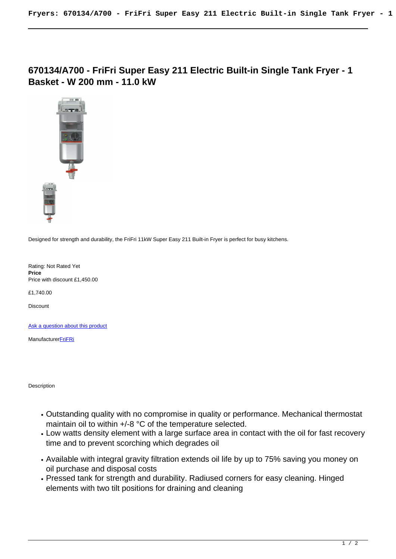**670134/A700 - FriFri Super Easy 211 Electric Built-in Single Tank Fryer - 1 Basket - W 200 mm - 11.0 kW**



Designed for strength and durability, the FriFri 11kW Super Easy 211 Built-in Fryer is perfect for busy kitchens.

Rating: Not Rated Yet **Price**  Price with discount £1,450.00

£1,740.00

Discount

[Ask a question about this product](https://www.bottlefridge.co.uk/index.php?option=com_virtuemart&view=productdetails&task=askquestion&virtuemart_product_id=120&virtuemart_category_id=10&tmpl=component)

**Manufacturer[FriFRi](https://www.bottlefridge.co.uk/index.php?option=com_virtuemart&view=manufacturer&virtuemart_manufacturer_id=17&tmpl=component)** 

Description

- Outstanding quality with no compromise in quality or performance. Mechanical thermostat maintain oil to within +/-8 °C of the temperature selected.
- Low watts density element with a large surface area in contact with the oil for fast recovery time and to prevent scorching which degrades oil
- Available with integral gravity filtration extends oil life by up to 75% saving you money on oil purchase and disposal costs
- Pressed tank for strength and durability. Radiused corners for easy cleaning. Hinged elements with two tilt positions for draining and cleaning